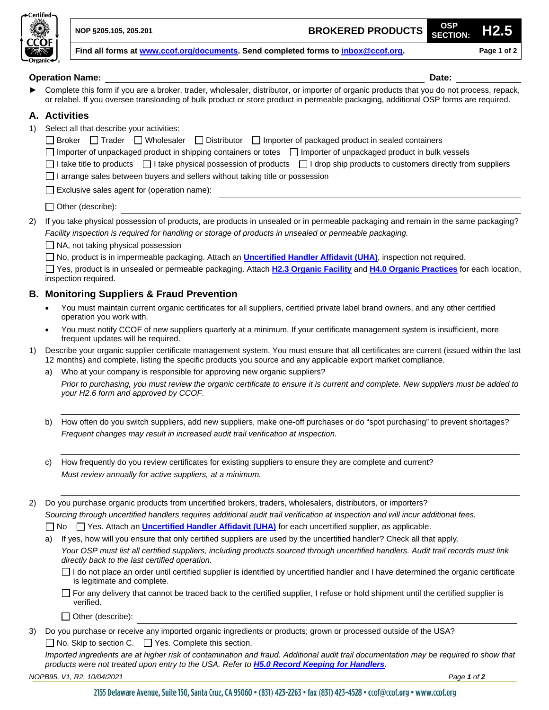

**NOP §205.105, 205.201 BROKERED PRODUCTS OSP**

**Find all forms at [www.ccof.org/documents.](https://www.ccof.org/documents) Send completed forms to [inbox@ccof.org.](https://ccof1.sharepoint.com/sites/365CCOFOrganization/Shared%20Documents/General/CCOF%20Certification%20Services/Cert%20Operations/COM%20-%20Management%20Team/Projects/OSP%20Overhaul%202020/OSP%20Update%20-%20Remove%20e-form%20-%20Gamai/inbox@ccof.org) Page 1 of 2**

|                                                       | <b>Operation Name:</b><br>Date:                                                                                                                                                                                                                                                                                                                                                                                                                                                                                                                                                                                                                                                                                                                                                                                                                                                                                                                                                                                                                       |  |  |  |
|-------------------------------------------------------|-------------------------------------------------------------------------------------------------------------------------------------------------------------------------------------------------------------------------------------------------------------------------------------------------------------------------------------------------------------------------------------------------------------------------------------------------------------------------------------------------------------------------------------------------------------------------------------------------------------------------------------------------------------------------------------------------------------------------------------------------------------------------------------------------------------------------------------------------------------------------------------------------------------------------------------------------------------------------------------------------------------------------------------------------------|--|--|--|
|                                                       | Complete this form if you are a broker, trader, wholesaler, distributor, or importer of organic products that you do not process, repack,<br>or relabel. If you oversee transloading of bulk product or store product in permeable packaging, additional OSP forms are required.                                                                                                                                                                                                                                                                                                                                                                                                                                                                                                                                                                                                                                                                                                                                                                      |  |  |  |
|                                                       | A. Activities                                                                                                                                                                                                                                                                                                                                                                                                                                                                                                                                                                                                                                                                                                                                                                                                                                                                                                                                                                                                                                         |  |  |  |
| 1)                                                    | Select all that describe your activities:<br>□ Broker □ Trader □ Wholesaler □ Distributor □ Importer of packaged product in sealed containers<br>Importer of unpackaged product in shipping containers or totes Importer of unpackaged product in bulk vessels<br>I take title to products □ I take physical possession of products □ I drop ship products to customers directly from suppliers<br>I arrange sales between buyers and sellers without taking title or possession<br>Exclusive sales agent for (operation name):                                                                                                                                                                                                                                                                                                                                                                                                                                                                                                                       |  |  |  |
|                                                       | <u> 1980 - Andrea Station Barbara, amerikan personal (h. 1980).</u><br>Other (describe):                                                                                                                                                                                                                                                                                                                                                                                                                                                                                                                                                                                                                                                                                                                                                                                                                                                                                                                                                              |  |  |  |
| 2)                                                    | If you take physical possession of products, are products in unsealed or in permeable packaging and remain in the same packaging?<br>Facility inspection is required for handling or storage of products in unsealed or permeable packaging.<br>$\Box$ NA, not taking physical possession<br>□ No, product is in impermeable packaging. Attach an <b>Uncertified Handler Affidavit (UHA)</b> , inspection not required.<br>□ Yes, product is in unsealed or permeable packaging. Attach H2.3 Organic Facility and H4.0 Organic Practices for each location,<br>inspection required.                                                                                                                                                                                                                                                                                                                                                                                                                                                                   |  |  |  |
| <b>B. Monitoring Suppliers &amp; Fraud Prevention</b> |                                                                                                                                                                                                                                                                                                                                                                                                                                                                                                                                                                                                                                                                                                                                                                                                                                                                                                                                                                                                                                                       |  |  |  |
|                                                       | You must maintain current organic certificates for all suppliers, certified private label brand owners, and any other certified<br>operation you work with.                                                                                                                                                                                                                                                                                                                                                                                                                                                                                                                                                                                                                                                                                                                                                                                                                                                                                           |  |  |  |
|                                                       | You must notify CCOF of new suppliers quarterly at a minimum. If your certificate management system is insufficient, more<br>frequent updates will be required.                                                                                                                                                                                                                                                                                                                                                                                                                                                                                                                                                                                                                                                                                                                                                                                                                                                                                       |  |  |  |
| 1)                                                    | Describe your organic supplier certificate management system. You must ensure that all certificates are current (issued within the last<br>12 months) and complete, listing the specific products you source and any applicable export market compliance.                                                                                                                                                                                                                                                                                                                                                                                                                                                                                                                                                                                                                                                                                                                                                                                             |  |  |  |
|                                                       | Who at your company is responsible for approving new organic suppliers?                                                                                                                                                                                                                                                                                                                                                                                                                                                                                                                                                                                                                                                                                                                                                                                                                                                                                                                                                                               |  |  |  |
|                                                       | Prior to purchasing, you must review the organic certificate to ensure it is current and complete. New suppliers must be added to<br>your H2.6 form and approved by CCOF.                                                                                                                                                                                                                                                                                                                                                                                                                                                                                                                                                                                                                                                                                                                                                                                                                                                                             |  |  |  |
|                                                       | How often do you switch suppliers, add new suppliers, make one-off purchases or do "spot purchasing" to prevent shortages?<br>Frequent changes may result in increased audit trail verification at inspection.                                                                                                                                                                                                                                                                                                                                                                                                                                                                                                                                                                                                                                                                                                                                                                                                                                        |  |  |  |
|                                                       | How frequently do you review certificates for existing suppliers to ensure they are complete and current?<br>Must review annually for active suppliers, at a minimum.                                                                                                                                                                                                                                                                                                                                                                                                                                                                                                                                                                                                                                                                                                                                                                                                                                                                                 |  |  |  |
| 2)                                                    | Do you purchase organic products from uncertified brokers, traders, wholesalers, distributors, or importers?<br>Sourcing through uncertified handlers requires additional audit trail verification at inspection and will incur additional fees.<br>$\Box$ Yes. Attach an <i>Uncertified Handler Affidavit (UHA)</i> for each uncertified supplier, as applicable.<br>No.<br>If yes, how will you ensure that only certified suppliers are used by the uncertified handler? Check all that apply.<br>Your OSP must list all certified suppliers, including products sourced through uncertified handlers. Audit trail records must link<br>directly back to the last certified operation.<br>$\Box$ I do not place an order until certified supplier is identified by uncertified handler and I have determined the organic certificate<br>is legitimate and complete.<br>□ For any delivery that cannot be traced back to the certified supplier, I refuse or hold shipment until the certified supplier is<br>verified.<br>$\Box$ Other (describe): |  |  |  |
| 3)                                                    | Do you purchase or receive any imported organic ingredients or products; grown or processed outside of the USA?                                                                                                                                                                                                                                                                                                                                                                                                                                                                                                                                                                                                                                                                                                                                                                                                                                                                                                                                       |  |  |  |
|                                                       | $\Box$ No. Skip to section C. $\Box$ Yes. Complete this section.                                                                                                                                                                                                                                                                                                                                                                                                                                                                                                                                                                                                                                                                                                                                                                                                                                                                                                                                                                                      |  |  |  |

*Imported ingredients are at higher risk of contamination and fraud. Additional audit trail documentation may be required to show that products were not treated upon entry to the USA. Refer to [H5.0 Record Keeping for Handlers](https://www.ccof.org/resource/h50-record-keeping-handlers).*